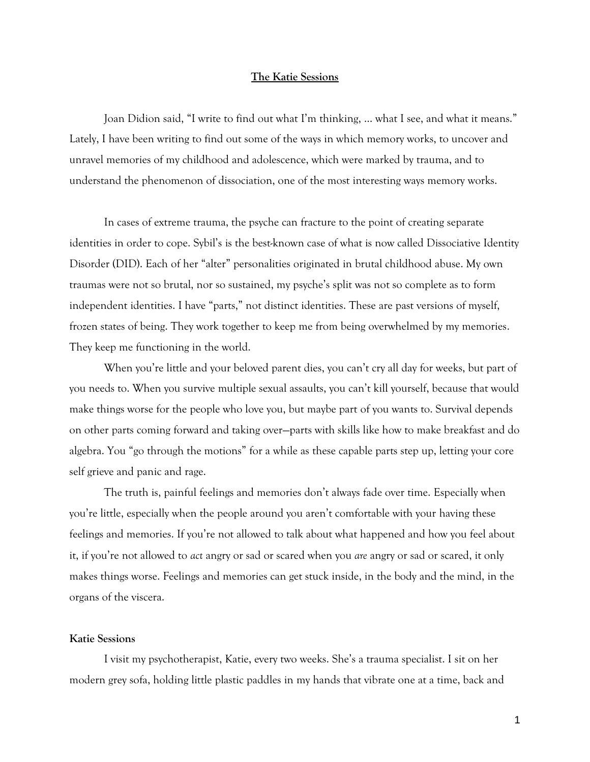## **The Katie Sessions**

Joan Didion said, "I write to find out what I'm thinking, … what I see, and what it means." Lately, I have been writing to find out some of the ways in which memory works, to uncover and unravel memories of my childhood and adolescence, which were marked by trauma, and to understand the phenomenon of dissociation, one of the most interesting ways memory works.

In cases of extreme trauma, the psyche can fracture to the point of creating separate identities in order to cope. Sybil's is the best-known case of what is now called Dissociative Identity Disorder (DID). Each of her "alter" personalities originated in brutal childhood abuse. My own traumas were not so brutal, nor so sustained, my psyche's split was not so complete as to form independent identities. I have "parts," not distinct identities. These are past versions of myself, frozen states of being. They work together to keep me from being overwhelmed by my memories. They keep me functioning in the world.

When you're little and your beloved parent dies, you can't cry all day for weeks, but part of you needs to. When you survive multiple sexual assaults, you can't kill yourself, because that would make things worse for the people who love you, but maybe part of you wants to. Survival depends on other parts coming forward and taking over—parts with skills like how to make breakfast and do algebra. You "go through the motions" for a while as these capable parts step up, letting your core self grieve and panic and rage.

The truth is, painful feelings and memories don't always fade over time. Especially when you're little, especially when the people around you aren't comfortable with your having these feelings and memories. If you're not allowed to talk about what happened and how you feel about it, if you're not allowed to *act* angry or sad or scared when you *are* angry or sad or scared, it only makes things worse. Feelings and memories can get stuck inside, in the body and the mind, in the organs of the viscera.

## **Katie Sessions**

I visit my psychotherapist, Katie, every two weeks. She's a trauma specialist. I sit on her modern grey sofa, holding little plastic paddles in my hands that vibrate one at a time, back and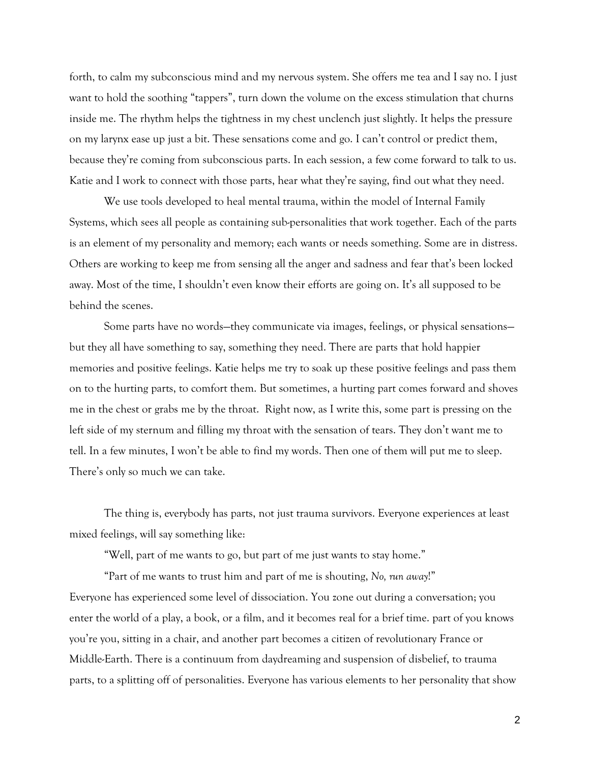forth, to calm my subconscious mind and my nervous system. She offers me tea and I say no. I just want to hold the soothing "tappers", turn down the volume on the excess stimulation that churns inside me. The rhythm helps the tightness in my chest unclench just slightly. It helps the pressure on my larynx ease up just a bit. These sensations come and go. I can't control or predict them, because they're coming from subconscious parts. In each session, a few come forward to talk to us. Katie and I work to connect with those parts, hear what they're saying, find out what they need.

We use tools developed to heal mental trauma, within the model of Internal Family Systems, which sees all people as containing sub-personalities that work together. Each of the parts is an element of my personality and memory; each wants or needs something. Some are in distress. Others are working to keep me from sensing all the anger and sadness and fear that's been locked away. Most of the time, I shouldn't even know their efforts are going on. It's all supposed to be behind the scenes.

Some parts have no words—they communicate via images, feelings, or physical sensations but they all have something to say, something they need. There are parts that hold happier memories and positive feelings. Katie helps me try to soak up these positive feelings and pass them on to the hurting parts, to comfort them. But sometimes, a hurting part comes forward and shoves me in the chest or grabs me by the throat. Right now, as I write this, some part is pressing on the left side of my sternum and filling my throat with the sensation of tears. They don't want me to tell. In a few minutes, I won't be able to find my words. Then one of them will put me to sleep. There's only so much we can take.

The thing is, everybody has parts, not just trauma survivors. Everyone experiences at least mixed feelings, will say something like:

"Well, part of me wants to go, but part of me just wants to stay home."

"Part of me wants to trust him and part of me is shouting, *No, run away*!" Everyone has experienced some level of dissociation. You zone out during a conversation; you enter the world of a play, a book, or a film, and it becomes real for a brief time. part of you knows you're you, sitting in a chair, and another part becomes a citizen of revolutionary France or Middle-Earth. There is a continuum from daydreaming and suspension of disbelief, to trauma parts, to a splitting off of personalities. Everyone has various elements to her personality that show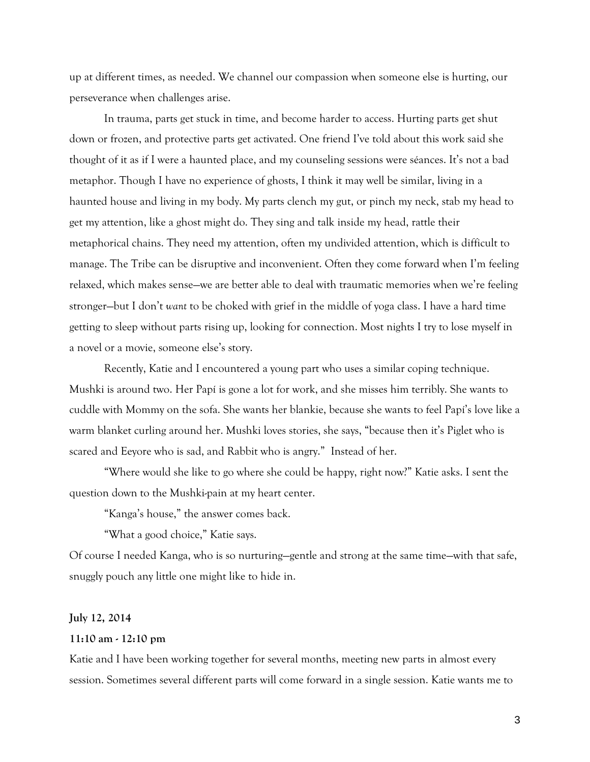up at different times, as needed. We channel our compassion when someone else is hurting, our perseverance when challenges arise.

In trauma, parts get stuck in time, and become harder to access. Hurting parts get shut down or frozen, and protective parts get activated. One friend I've told about this work said she thought of it as if I were a haunted place, and my counseling sessions were séances. It's not a bad metaphor. Though I have no experience of ghosts, I think it may well be similar, living in a haunted house and living in my body. My parts clench my gut, or pinch my neck, stab my head to get my attention, like a ghost might do. They sing and talk inside my head, rattle their metaphorical chains. They need my attention, often my undivided attention, which is difficult to manage. The Tribe can be disruptive and inconvenient. Often they come forward when I'm feeling relaxed, which makes sense—we are better able to deal with traumatic memories when we're feeling stronger—but I don't *want* to be choked with grief in the middle of yoga class. I have a hard time getting to sleep without parts rising up, looking for connection. Most nights I try to lose myself in a novel or a movie, someone else's story.

Recently, Katie and I encountered a young part who uses a similar coping technique. Mushki is around two. Her Papí is gone a lot for work, and she misses him terribly. She wants to cuddle with Mommy on the sofa. She wants her blankie, because she wants to feel Papí's love like a warm blanket curling around her. Mushki loves stories, she says, "because then it's Piglet who is scared and Eeyore who is sad, and Rabbit who is angry." Instead of her.

"Where would she like to go where she could be happy, right now?" Katie asks. I sent the question down to the Mushki-pain at my heart center.

"Kanga's house," the answer comes back.

"What a good choice," Katie says.

Of course I needed Kanga, who is so nurturing—gentle and strong at the same time—with that safe, snuggly pouch any little one might like to hide in.

# **July 12, 2014**

#### **11:10 am - 12:10 pm**

Katie and I have been working together for several months, meeting new parts in almost every session. Sometimes several different parts will come forward in a single session. Katie wants me to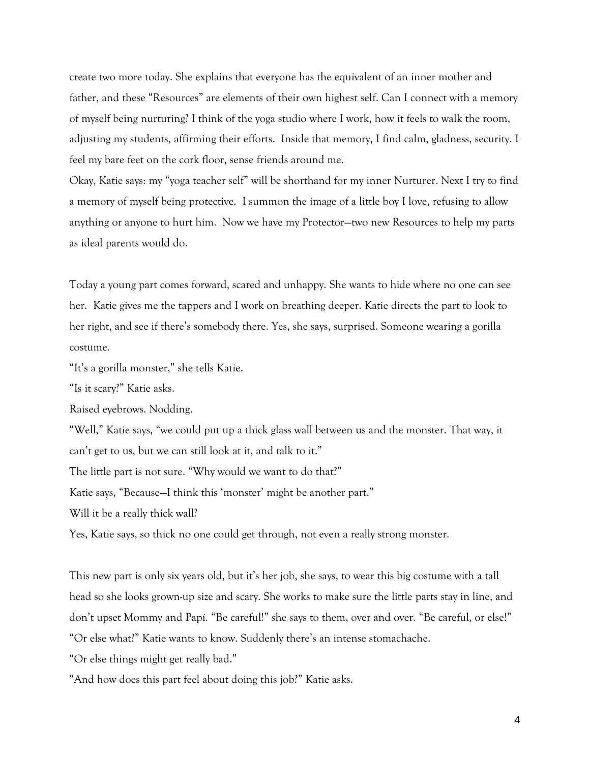create two more today. She explains that everyone has the equivalent of an inner mother and father, and these "Resources" are elements of their own highest self. Can I connect with a memory of myself being nurturing? I think of the yoga studio where I work, how it feels to walk the room, adjusting my students, affirming their efforts. Inside that memory, I find calm, gladness, security. I feel my bare feet on the cork floor, sense friends around me.

Okay, Katie says: my "yoga teacher self" will be shorthand for my inner Nurturer. Next I try to find a memory of myself being protective. I summon the image of a little boy I love, refusing to allow anything or anyone to hurt him. Now we have my Protector—two new Resources to help my parts as ideal parents would do.

Today a young part comes forward, scared and unhappy. She wants to hide where no one can see her. Katie gives me the tappers and I work on breathing deeper. Katie directs the part to look to her right, and see if there's somebody there. Yes, she says, surprised. Someone wearing a gorilla costume.

"It's a gorilla monster," she tells Katie.

"Is it scary?" Katie asks.

Raised eyebrows. Nodding.

"Well," Katie says, "we could put up a thick glass wall between us and the monster. That way, it can't get to us, but we can still look at it, and talk to it."

The little part is not sure. "Why would we want to do that?"

Katie says, "Because—I think this 'monster' might be another part."

Will it be a really thick wall?

Yes, Katie says, so thick no one could get through, not even a really strong monster.

This new part is only six years old, but it's her job, she says, to wear this big costume with a tall head so she looks grown-up size and scary. She works to make sure the little parts stay in line, and don't upset Mommy and Papí. "Be careful!" she says to them, over and over. "Be careful, or else!" "Or else what?" Katie wants to know. Suddenly there's an intense stomachache.

"Or else things might get really bad."

"And how does this part feel about doing this job?" Katie asks.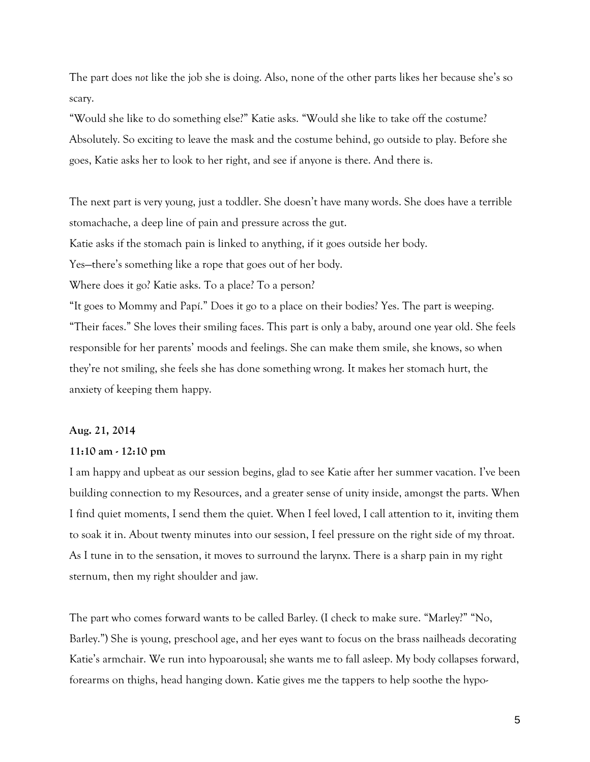The part does *not* like the job she is doing. Also, none of the other parts likes her because she's so scary.

"Would she like to do something else?" Katie asks. "Would she like to take off the costume? Absolutely. So exciting to leave the mask and the costume behind, go outside to play. Before she goes, Katie asks her to look to her right, and see if anyone is there. And there is.

The next part is very young, just a toddler. She doesn't have many words. She does have a terrible stomachache, a deep line of pain and pressure across the gut.

Katie asks if the stomach pain is linked to anything, if it goes outside her body.

Yes—there's something like a rope that goes out of her body.

Where does it go? Katie asks. To a place? To a person?

"It goes to Mommy and Papí." Does it go to a place on their bodies? Yes. The part is weeping. "Their faces." She loves their smiling faces. This part is only a baby, around one year old. She feels responsible for her parents' moods and feelings. She can make them smile, she knows, so when they're not smiling, she feels she has done something wrong. It makes her stomach hurt, the anxiety of keeping them happy.

## **Aug. 21, 2014**

## **11:10 am - 12:10 pm**

I am happy and upbeat as our session begins, glad to see Katie after her summer vacation. I've been building connection to my Resources, and a greater sense of unity inside, amongst the parts. When I find quiet moments, I send them the quiet. When I feel loved, I call attention to it, inviting them to soak it in. About twenty minutes into our session, I feel pressure on the right side of my throat. As I tune in to the sensation, it moves to surround the larynx. There is a sharp pain in my right sternum, then my right shoulder and jaw.

The part who comes forward wants to be called Barley. (I check to make sure. "Marley?" "No, Barley.") She is young, preschool age, and her eyes want to focus on the brass nailheads decorating Katie's armchair. We run into hypoarousal; she wants me to fall asleep. My body collapses forward, forearms on thighs, head hanging down. Katie gives me the tappers to help soothe the hypo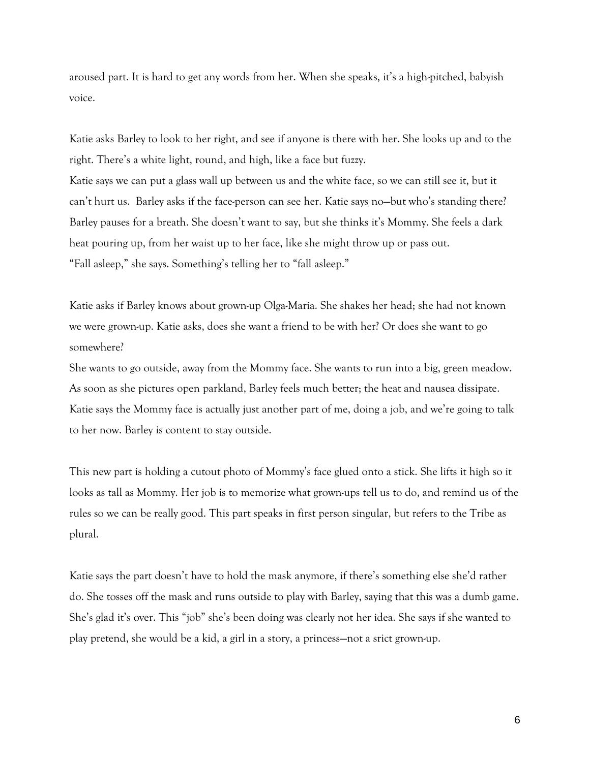aroused part. It is hard to get any words from her. When she speaks, it's a high-pitched, babyish voice.

Katie asks Barley to look to her right, and see if anyone is there with her. She looks up and to the right. There's a white light, round, and high, like a face but fuzzy. Katie says we can put a glass wall up between us and the white face, so we can still see it, but it can't hurt us. Barley asks if the face-person can see her. Katie says no—but who's standing there? Barley pauses for a breath. She doesn't want to say, but she thinks it's Mommy. She feels a dark heat pouring up, from her waist up to her face, like she might throw up or pass out. "Fall asleep," she says. Something's telling her to "fall asleep."

Katie asks if Barley knows about grown-up Olga-Maria. She shakes her head; she had not known we were grown-up. Katie asks, does she want a friend to be with her? Or does she want to go somewhere?

She wants to go outside, away from the Mommy face. She wants to run into a big, green meadow. As soon as she pictures open parkland, Barley feels much better; the heat and nausea dissipate. Katie says the Mommy face is actually just another part of me, doing a job, and we're going to talk to her now. Barley is content to stay outside.

This new part is holding a cutout photo of Mommy's face glued onto a stick. She lifts it high so it looks as tall as Mommy. Her job is to memorize what grown-ups tell us to do, and remind us of the rules so we can be really good. This part speaks in first person singular, but refers to the Tribe as plural.

Katie says the part doesn't have to hold the mask anymore, if there's something else she'd rather do. She tosses off the mask and runs outside to play with Barley, saying that this was a dumb game. She's glad it's over. This "job" she's been doing was clearly not her idea. She says if she wanted to play pretend, she would be a kid, a girl in a story, a princess—not a srict grown-up.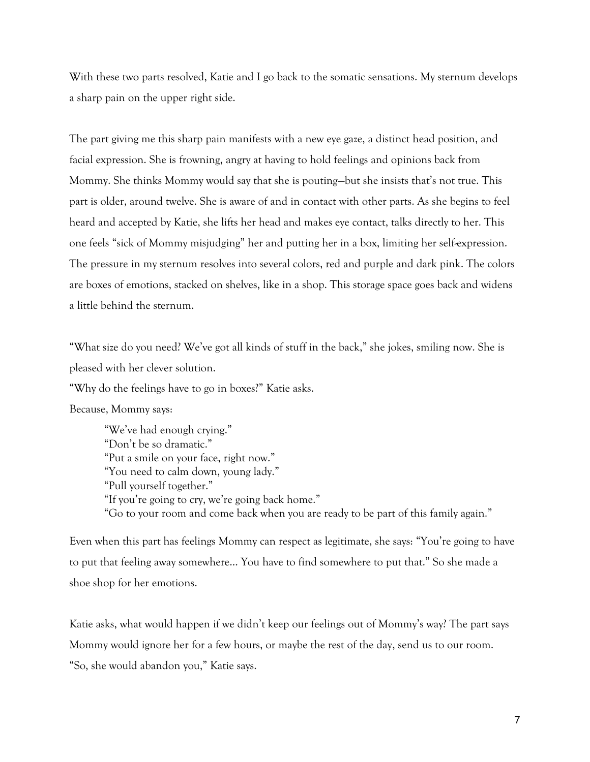With these two parts resolved, Katie and I go back to the somatic sensations. My sternum develops a sharp pain on the upper right side.

The part giving me this sharp pain manifests with a new eye gaze, a distinct head position, and facial expression. She is frowning, angry at having to hold feelings and opinions back from Mommy. She thinks Mommy would say that she is pouting—but she insists that's not true. This part is older, around twelve. She is aware of and in contact with other parts. As she begins to feel heard and accepted by Katie, she lifts her head and makes eye contact, talks directly to her. This one feels "sick of Mommy misjudging" her and putting her in a box, limiting her self-expression. The pressure in my sternum resolves into several colors, red and purple and dark pink. The colors are boxes of emotions, stacked on shelves, like in a shop. This storage space goes back and widens a little behind the sternum.

"What size do you need? We've got all kinds of stuff in the back," she jokes, smiling now. She is pleased with her clever solution.

"Why do the feelings have to go in boxes?" Katie asks.

Because, Mommy says:

"We've had enough crying." "Don't be so dramatic." "Put a smile on your face, right now." "You need to calm down, young lady." "Pull yourself together." "If you're going to cry, we're going back home." "Go to your room and come back when you are ready to be part of this family again."

Even when this part has feelings Mommy can respect as legitimate, she says: "You're going to have to put that feeling away somewhere… You have to find somewhere to put that." So she made a shoe shop for her emotions.

Katie asks, what would happen if we didn't keep our feelings out of Mommy's way? The part says Mommy would ignore her for a few hours, or maybe the rest of the day, send us to our room. "So, she would abandon you," Katie says.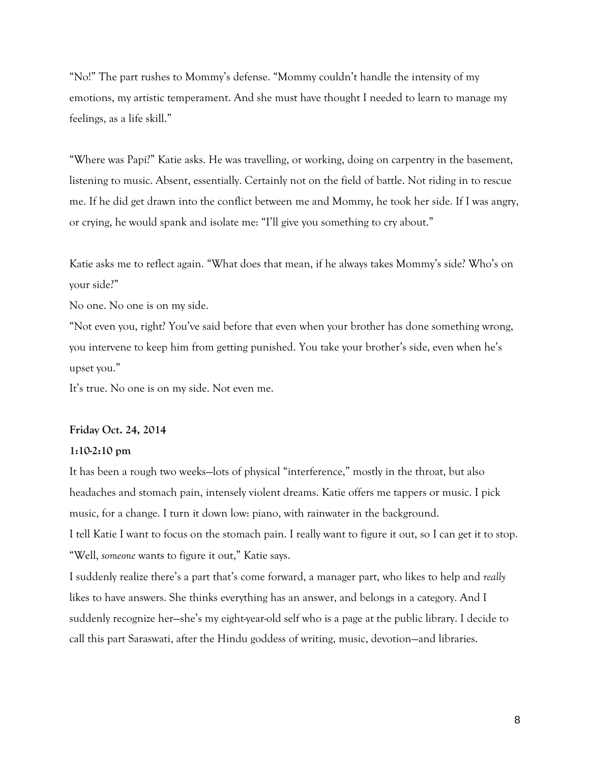"No!" The part rushes to Mommy's defense. "Mommy couldn't handle the intensity of my emotions, my artistic temperament. And she must have thought I needed to learn to manage my feelings, as a life skill."

"Where was Papí?" Katie asks. He was travelling, or working, doing on carpentry in the basement, listening to music. Absent, essentially. Certainly not on the field of battle. Not riding in to rescue me. If he did get drawn into the conflict between me and Mommy, he took her side. If I was angry, or crying, he would spank and isolate me: "I'll give you something to cry about."

Katie asks me to reflect again. "What does that mean, if he always takes Mommy's side? Who's on your side?"

No one. No one is on my side.

"Not even you, right? You've said before that even when your brother has done something wrong, you intervene to keep him from getting punished. You take your brother's side, even when he's upset you."

It's true. No one is on my side. Not even me.

#### **Friday Oct. 24, 2014**

#### **1:10-2:10 pm**

It has been a rough two weeks—lots of physical "interference," mostly in the throat, but also headaches and stomach pain, intensely violent dreams. Katie offers me tappers or music. I pick music, for a change. I turn it down low: piano, with rainwater in the background. I tell Katie I want to focus on the stomach pain. I really want to figure it out, so I can get it to stop. "Well, *someone* wants to figure it out," Katie says.

I suddenly realize there's a part that's come forward, a manager part, who likes to help and *really* likes to have answers. She thinks everything has an answer, and belongs in a category. And I suddenly recognize her—she's my eight-year-old self who is a page at the public library. I decide to call this part Saraswati, after the Hindu goddess of writing, music, devotion—and libraries.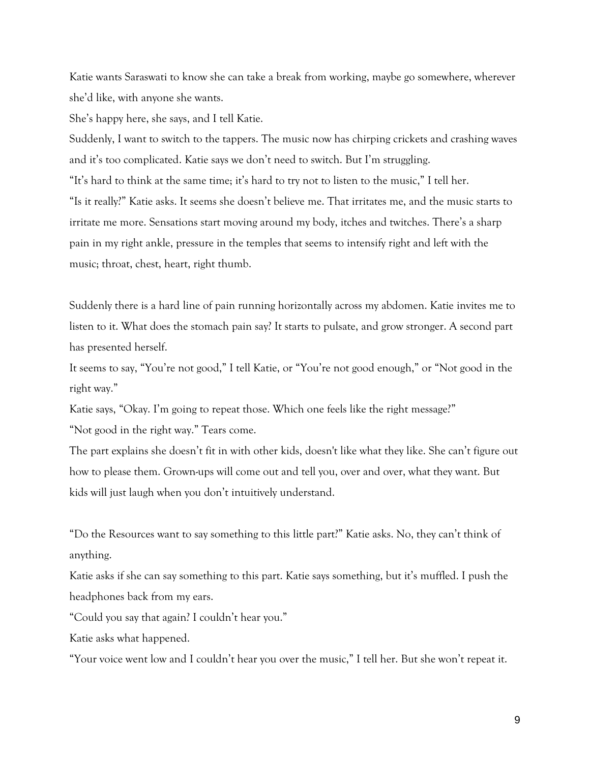Katie wants Saraswati to know she can take a break from working, maybe go somewhere, wherever she'd like, with anyone she wants.

She's happy here, she says, and I tell Katie.

Suddenly, I want to switch to the tappers. The music now has chirping crickets and crashing waves and it's too complicated. Katie says we don't need to switch. But I'm struggling. "It's hard to think at the same time; it's hard to try not to listen to the music," I tell her. "Is it really?" Katie asks. It seems she doesn't believe me. That irritates me, and the music starts to irritate me more. Sensations start moving around my body, itches and twitches. There's a sharp pain in my right ankle, pressure in the temples that seems to intensify right and left with the music; throat, chest, heart, right thumb.

Suddenly there is a hard line of pain running horizontally across my abdomen. Katie invites me to listen to it. What does the stomach pain say? It starts to pulsate, and grow stronger. A second part has presented herself.

It seems to say, "You're not good," I tell Katie, or "You're not good enough," or "Not good in the right way."

Katie says, "Okay. I'm going to repeat those. Which one feels like the right message?" "Not good in the right way." Tears come.

The part explains she doesn't fit in with other kids, doesn't like what they like. She can't figure out how to please them. Grown-ups will come out and tell you, over and over, what they want. But kids will just laugh when you don't intuitively understand.

"Do the Resources want to say something to this little part?" Katie asks. No, they can't think of anything.

Katie asks if she can say something to this part. Katie says something, but it's muffled. I push the headphones back from my ears.

"Could you say that again? I couldn't hear you."

Katie asks what happened.

"Your voice went low and I couldn't hear you over the music," I tell her. But she won't repeat it.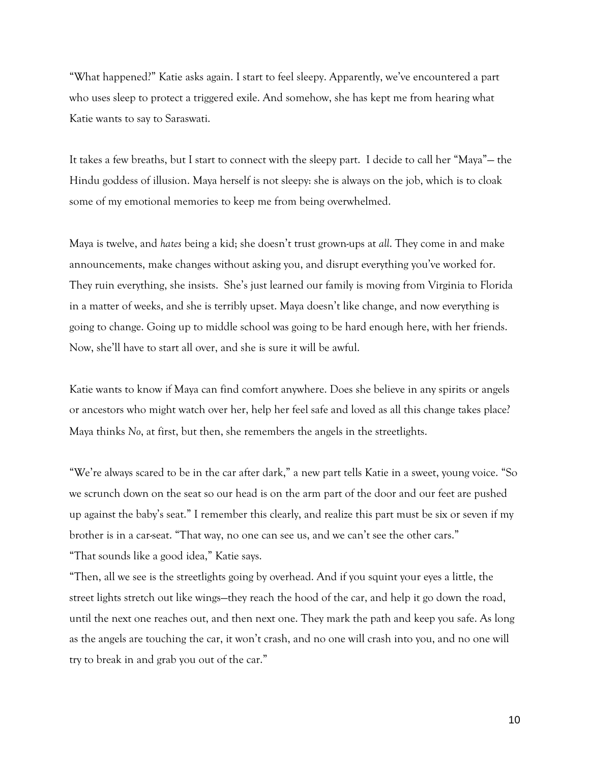"What happened?" Katie asks again. I start to feel sleepy. Apparently, we've encountered a part who uses sleep to protect a triggered exile. And somehow, she has kept me from hearing what Katie wants to say to Saraswati.

It takes a few breaths, but I start to connect with the sleepy part. I decide to call her "Maya"— the Hindu goddess of illusion. Maya herself is not sleepy: she is always on the job, which is to cloak some of my emotional memories to keep me from being overwhelmed.

Maya is twelve, and *hates* being a kid; she doesn't trust grown-ups at *all*. They come in and make announcements, make changes without asking you, and disrupt everything you've worked for. They ruin everything, she insists. She's just learned our family is moving from Virginia to Florida in a matter of weeks, and she is terribly upset. Maya doesn't like change, and now everything is going to change. Going up to middle school was going to be hard enough here, with her friends. Now, she'll have to start all over, and she is sure it will be awful.

Katie wants to know if Maya can find comfort anywhere. Does she believe in any spirits or angels or ancestors who might watch over her, help her feel safe and loved as all this change takes place? Maya thinks *No*, at first, but then, she remembers the angels in the streetlights.

"We're always scared to be in the car after dark," a new part tells Katie in a sweet, young voice. "So we scrunch down on the seat so our head is on the arm part of the door and our feet are pushed up against the baby's seat." I remember this clearly, and realize this part must be six or seven if my brother is in a car-seat. "That way, no one can see us, and we can't see the other cars." "That sounds like a good idea," Katie says.

"Then, all we see is the streetlights going by overhead. And if you squint your eyes a little, the street lights stretch out like wings—they reach the hood of the car, and help it go down the road, until the next one reaches out, and then next one. They mark the path and keep you safe. As long as the angels are touching the car, it won't crash, and no one will crash into you, and no one will try to break in and grab you out of the car."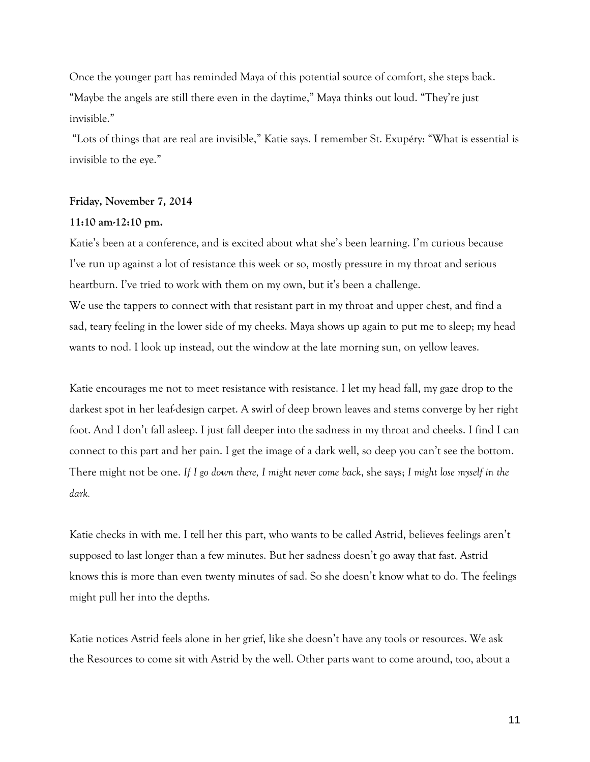Once the younger part has reminded Maya of this potential source of comfort, she steps back. "Maybe the angels are still there even in the daytime," Maya thinks out loud. "They're just invisible."

"Lots of things that are real are invisible," Katie says. I remember St. Exupéry: "What is essential is invisible to the eye."

# **Friday, November 7, 2014**

## **11:10 am-12:10 pm.**

Katie's been at a conference, and is excited about what she's been learning. I'm curious because I've run up against a lot of resistance this week or so, mostly pressure in my throat and serious heartburn. I've tried to work with them on my own, but it's been a challenge.

We use the tappers to connect with that resistant part in my throat and upper chest, and find a sad, teary feeling in the lower side of my cheeks. Maya shows up again to put me to sleep; my head wants to nod. I look up instead, out the window at the late morning sun, on yellow leaves.

Katie encourages me not to meet resistance with resistance. I let my head fall, my gaze drop to the darkest spot in her leaf-design carpet. A swirl of deep brown leaves and stems converge by her right foot. And I don't fall asleep. I just fall deeper into the sadness in my throat and cheeks. I find I can connect to this part and her pain. I get the image of a dark well, so deep you can't see the bottom. There might not be one. *If I go down there, I might never come back*, she says; *I might lose myself in the dark.* 

Katie checks in with me. I tell her this part, who wants to be called Astrid, believes feelings aren't supposed to last longer than a few minutes. But her sadness doesn't go away that fast. Astrid knows this is more than even twenty minutes of sad. So she doesn't know what to do. The feelings might pull her into the depths.

Katie notices Astrid feels alone in her grief, like she doesn't have any tools or resources. We ask the Resources to come sit with Astrid by the well. Other parts want to come around, too, about a